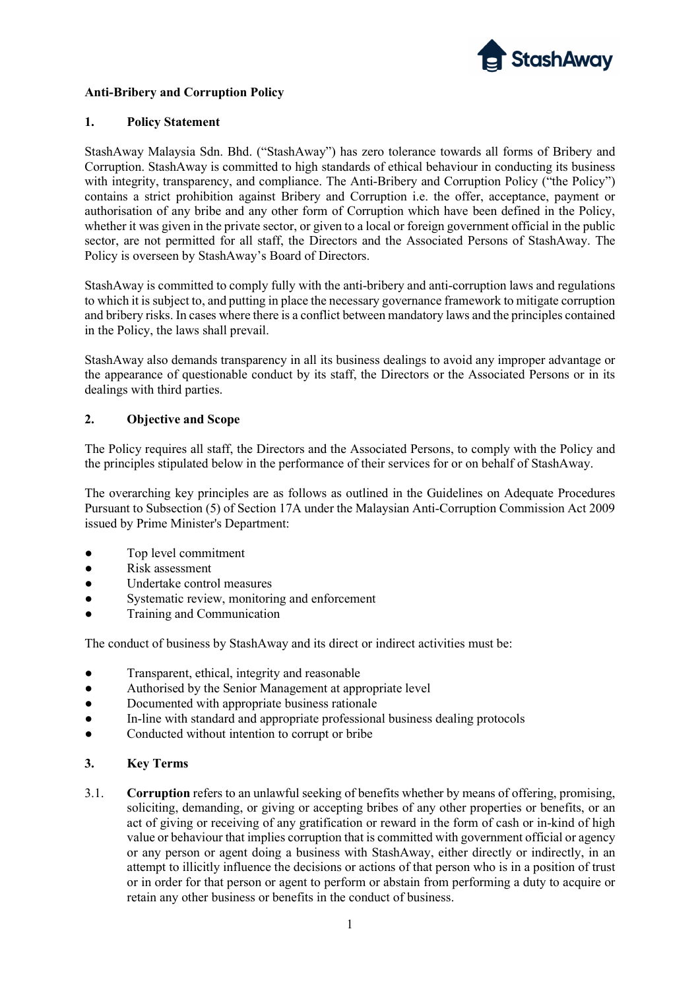

## Anti-Bribery and Corruption Policy

### 1. Policy Statement

StashAway Malaysia Sdn. Bhd. ("StashAway") has zero tolerance towards all forms of Bribery and Corruption. StashAway is committed to high standards of ethical behaviour in conducting its business with integrity, transparency, and compliance. The Anti-Bribery and Corruption Policy ("the Policy") contains a strict prohibition against Bribery and Corruption i.e. the offer, acceptance, payment or authorisation of any bribe and any other form of Corruption which have been defined in the Policy, whether it was given in the private sector, or given to a local or foreign government official in the public sector, are not permitted for all staff, the Directors and the Associated Persons of StashAway. The Policy is overseen by StashAway's Board of Directors.

StashAway is committed to comply fully with the anti-bribery and anti-corruption laws and regulations to which it is subject to, and putting in place the necessary governance framework to mitigate corruption and bribery risks. In cases where there is a conflict between mandatory laws and the principles contained in the Policy, the laws shall prevail.

StashAway also demands transparency in all its business dealings to avoid any improper advantage or the appearance of questionable conduct by its staff, the Directors or the Associated Persons or in its dealings with third parties.

## 2. Objective and Scope

The Policy requires all staff, the Directors and the Associated Persons, to comply with the Policy and the principles stipulated below in the performance of their services for or on behalf of StashAway.

The overarching key principles are as follows as outlined in the Guidelines on Adequate Procedures Pursuant to Subsection (5) of Section 17A under the Malaysian Anti-Corruption Commission Act 2009 issued by Prime Minister's Department:

- Top level commitment
- Risk assessment
- Undertake control measures
- Systematic review, monitoring and enforcement
- Training and Communication

The conduct of business by StashAway and its direct or indirect activities must be:

- Transparent, ethical, integrity and reasonable
- Authorised by the Senior Management at appropriate level
- Documented with appropriate business rationale
- In-line with standard and appropriate professional business dealing protocols
- Conducted without intention to corrupt or bribe

### 3. Key Terms

3.1. Corruption refers to an unlawful seeking of benefits whether by means of offering, promising, soliciting, demanding, or giving or accepting bribes of any other properties or benefits, or an act of giving or receiving of any gratification or reward in the form of cash or in-kind of high value or behaviour that implies corruption that is committed with government official or agency or any person or agent doing a business with StashAway, either directly or indirectly, in an attempt to illicitly influence the decisions or actions of that person who is in a position of trust or in order for that person or agent to perform or abstain from performing a duty to acquire or retain any other business or benefits in the conduct of business.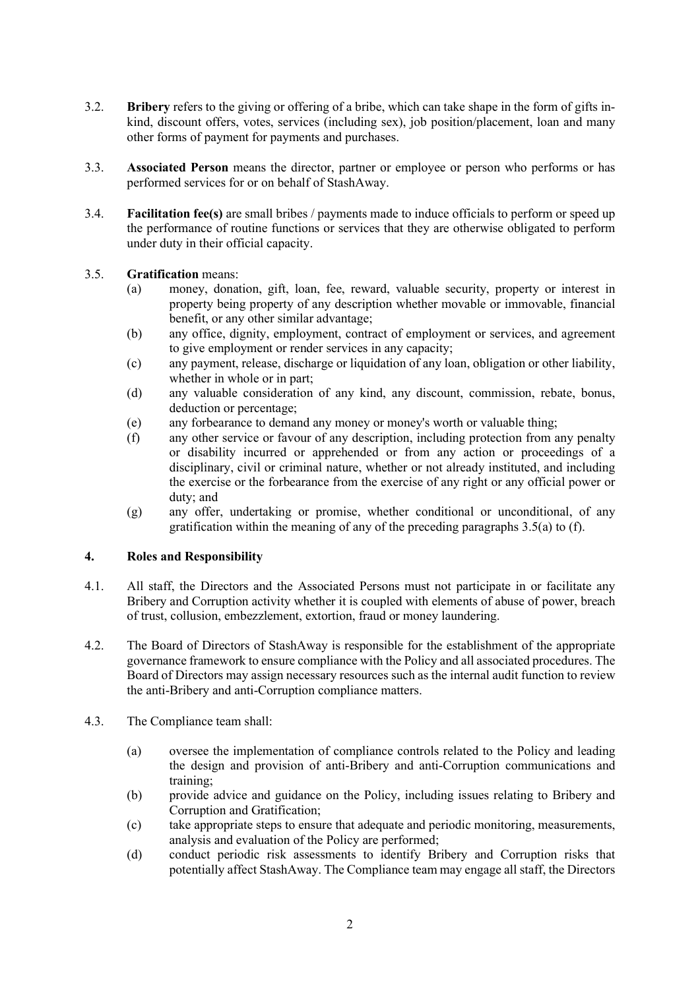- 3.2. Bribery refers to the giving or offering of a bribe, which can take shape in the form of gifts inkind, discount offers, votes, services (including sex), job position/placement, loan and many other forms of payment for payments and purchases.
- 3.3. Associated Person means the director, partner or employee or person who performs or has performed services for or on behalf of StashAway.
- 3.4. Facilitation fee(s) are small bribes / payments made to induce officials to perform or speed up the performance of routine functions or services that they are otherwise obligated to perform under duty in their official capacity.

## 3.5. Gratification means:

- (a) money, donation, gift, loan, fee, reward, valuable security, property or interest in property being property of any description whether movable or immovable, financial benefit, or any other similar advantage;
- (b) any office, dignity, employment, contract of employment or services, and agreement to give employment or render services in any capacity;
- (c) any payment, release, discharge or liquidation of any loan, obligation or other liability, whether in whole or in part;
- (d) any valuable consideration of any kind, any discount, commission, rebate, bonus, deduction or percentage;
- (e) any forbearance to demand any money or money's worth or valuable thing;
- (f) any other service or favour of any description, including protection from any penalty or disability incurred or apprehended or from any action or proceedings of a disciplinary, civil or criminal nature, whether or not already instituted, and including the exercise or the forbearance from the exercise of any right or any official power or duty; and
- (g) any offer, undertaking or promise, whether conditional or unconditional, of any gratification within the meaning of any of the preceding paragraphs 3.5(a) to (f).

### 4. Roles and Responsibility

- 4.1. All staff, the Directors and the Associated Persons must not participate in or facilitate any Bribery and Corruption activity whether it is coupled with elements of abuse of power, breach of trust, collusion, embezzlement, extortion, fraud or money laundering.
- 4.2. The Board of Directors of StashAway is responsible for the establishment of the appropriate governance framework to ensure compliance with the Policy and all associated procedures. The Board of Directors may assign necessary resources such as the internal audit function to review the anti-Bribery and anti-Corruption compliance matters.
- 4.3. The Compliance team shall:
	- (a) oversee the implementation of compliance controls related to the Policy and leading the design and provision of anti-Bribery and anti-Corruption communications and training;
	- (b) provide advice and guidance on the Policy, including issues relating to Bribery and Corruption and Gratification;
	- (c) take appropriate steps to ensure that adequate and periodic monitoring, measurements, analysis and evaluation of the Policy are performed;
	- (d) conduct periodic risk assessments to identify Bribery and Corruption risks that potentially affect StashAway. The Compliance team may engage all staff, the Directors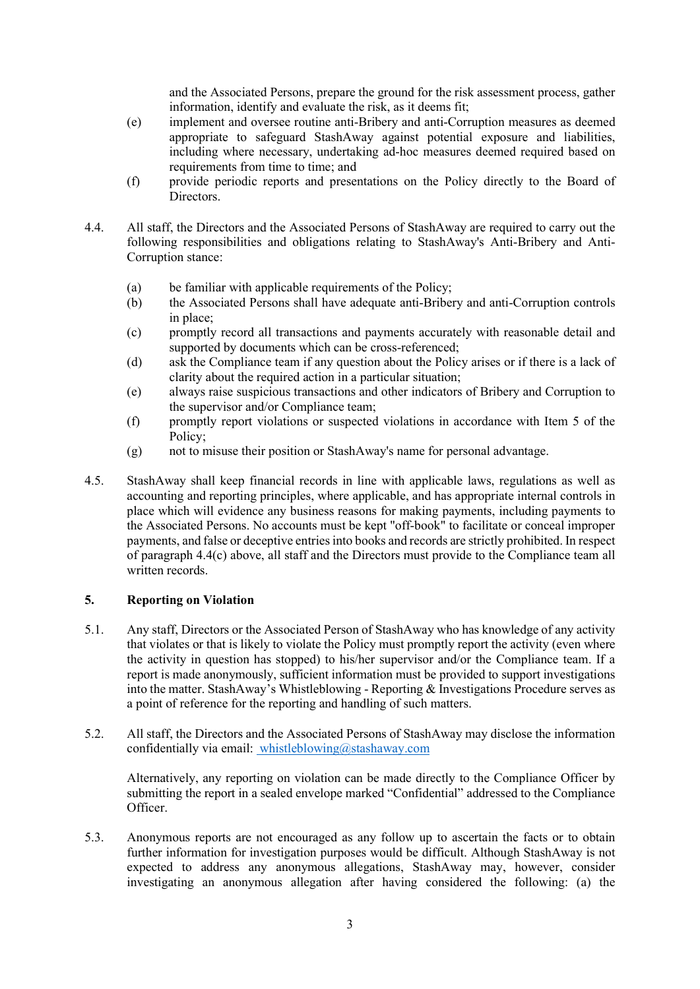and the Associated Persons, prepare the ground for the risk assessment process, gather information, identify and evaluate the risk, as it deems fit;

- (e) implement and oversee routine anti-Bribery and anti-Corruption measures as deemed appropriate to safeguard StashAway against potential exposure and liabilities, including where necessary, undertaking ad-hoc measures deemed required based on requirements from time to time; and
- (f) provide periodic reports and presentations on the Policy directly to the Board of Directors.
- 4.4. All staff, the Directors and the Associated Persons of StashAway are required to carry out the following responsibilities and obligations relating to StashAway's Anti-Bribery and Anti-Corruption stance:
	- (a) be familiar with applicable requirements of the Policy;
	- (b) the Associated Persons shall have adequate anti-Bribery and anti-Corruption controls in place;
	- (c) promptly record all transactions and payments accurately with reasonable detail and supported by documents which can be cross-referenced;
	- (d) ask the Compliance team if any question about the Policy arises or if there is a lack of clarity about the required action in a particular situation;
	- (e) always raise suspicious transactions and other indicators of Bribery and Corruption to the supervisor and/or Compliance team;
	- (f) promptly report violations or suspected violations in accordance with Item 5 of the Policy;
	- (g) not to misuse their position or StashAway's name for personal advantage.
- 4.5. StashAway shall keep financial records in line with applicable laws, regulations as well as accounting and reporting principles, where applicable, and has appropriate internal controls in place which will evidence any business reasons for making payments, including payments to the Associated Persons. No accounts must be kept "off-book" to facilitate or conceal improper payments, and false or deceptive entries into books and records are strictly prohibited. In respect of paragraph 4.4(c) above, all staff and the Directors must provide to the Compliance team all written records.

# 5. Reporting on Violation

- 5.1. Any staff, Directors or the Associated Person of StashAway who has knowledge of any activity that violates or that is likely to violate the Policy must promptly report the activity (even where the activity in question has stopped) to his/her supervisor and/or the Compliance team. If a report is made anonymously, sufficient information must be provided to support investigations into the matter. StashAway's Whistleblowing - Reporting & Investigations Procedure serves as a point of reference for the reporting and handling of such matters.
- 5.2. All staff, the Directors and the Associated Persons of StashAway may disclose the information confidentially via email: whistleblowing@stashaway.com

Alternatively, any reporting on violation can be made directly to the Compliance Officer by submitting the report in a sealed envelope marked "Confidential" addressed to the Compliance Officer.

5.3. Anonymous reports are not encouraged as any follow up to ascertain the facts or to obtain further information for investigation purposes would be difficult. Although StashAway is not expected to address any anonymous allegations, StashAway may, however, consider investigating an anonymous allegation after having considered the following: (a) the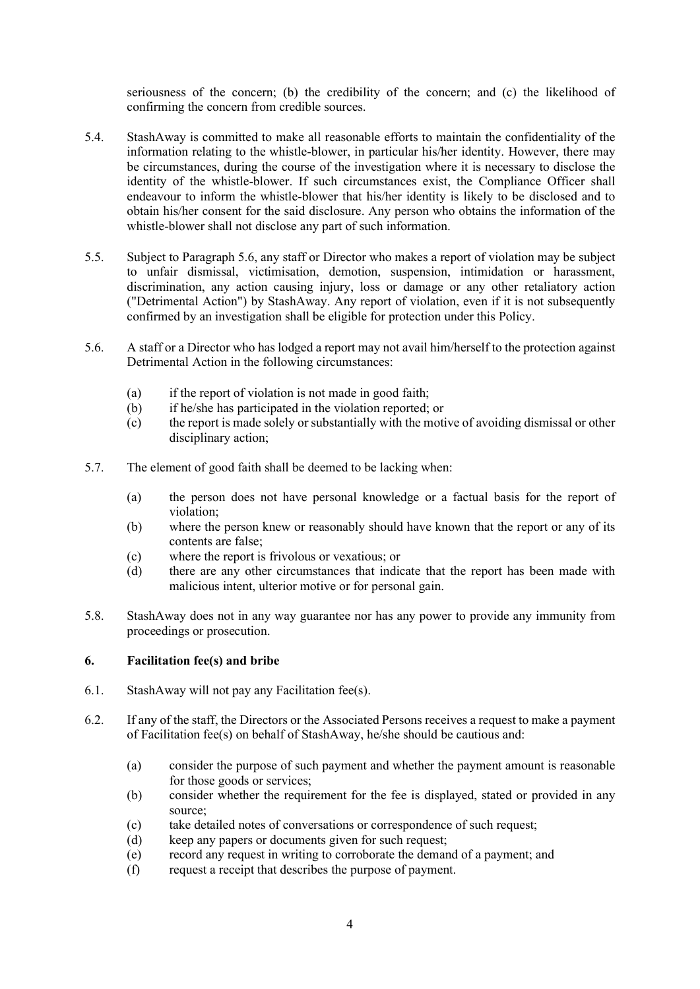seriousness of the concern; (b) the credibility of the concern; and (c) the likelihood of confirming the concern from credible sources.

- 5.4. StashAway is committed to make all reasonable efforts to maintain the confidentiality of the information relating to the whistle-blower, in particular his/her identity. However, there may be circumstances, during the course of the investigation where it is necessary to disclose the identity of the whistle-blower. If such circumstances exist, the Compliance Officer shall endeavour to inform the whistle-blower that his/her identity is likely to be disclosed and to obtain his/her consent for the said disclosure. Any person who obtains the information of the whistle-blower shall not disclose any part of such information.
- 5.5. Subject to Paragraph 5.6, any staff or Director who makes a report of violation may be subject to unfair dismissal, victimisation, demotion, suspension, intimidation or harassment, discrimination, any action causing injury, loss or damage or any other retaliatory action ("Detrimental Action") by StashAway. Any report of violation, even if it is not subsequently confirmed by an investigation shall be eligible for protection under this Policy.
- 5.6. A staff or a Director who has lodged a report may not avail him/herself to the protection against Detrimental Action in the following circumstances:
	- (a) if the report of violation is not made in good faith;
	- (b) if he/she has participated in the violation reported; or
	- (c) the report is made solely or substantially with the motive of avoiding dismissal or other disciplinary action;
- 5.7. The element of good faith shall be deemed to be lacking when:
	- (a) the person does not have personal knowledge or a factual basis for the report of violation;
	- (b) where the person knew or reasonably should have known that the report or any of its contents are false;
	- (c) where the report is frivolous or vexatious; or
	- (d) there are any other circumstances that indicate that the report has been made with malicious intent, ulterior motive or for personal gain.
- 5.8. StashAway does not in any way guarantee nor has any power to provide any immunity from proceedings or prosecution.

### 6. Facilitation fee(s) and bribe

- 6.1. StashAway will not pay any Facilitation fee(s).
- 6.2. If any of the staff, the Directors or the Associated Persons receives a request to make a payment of Facilitation fee(s) on behalf of StashAway, he/she should be cautious and:
	- (a) consider the purpose of such payment and whether the payment amount is reasonable for those goods or services;
	- (b) consider whether the requirement for the fee is displayed, stated or provided in any source;
	- (c) take detailed notes of conversations or correspondence of such request;
	- (d) keep any papers or documents given for such request;
	- (e) record any request in writing to corroborate the demand of a payment; and
	- (f) request a receipt that describes the purpose of payment.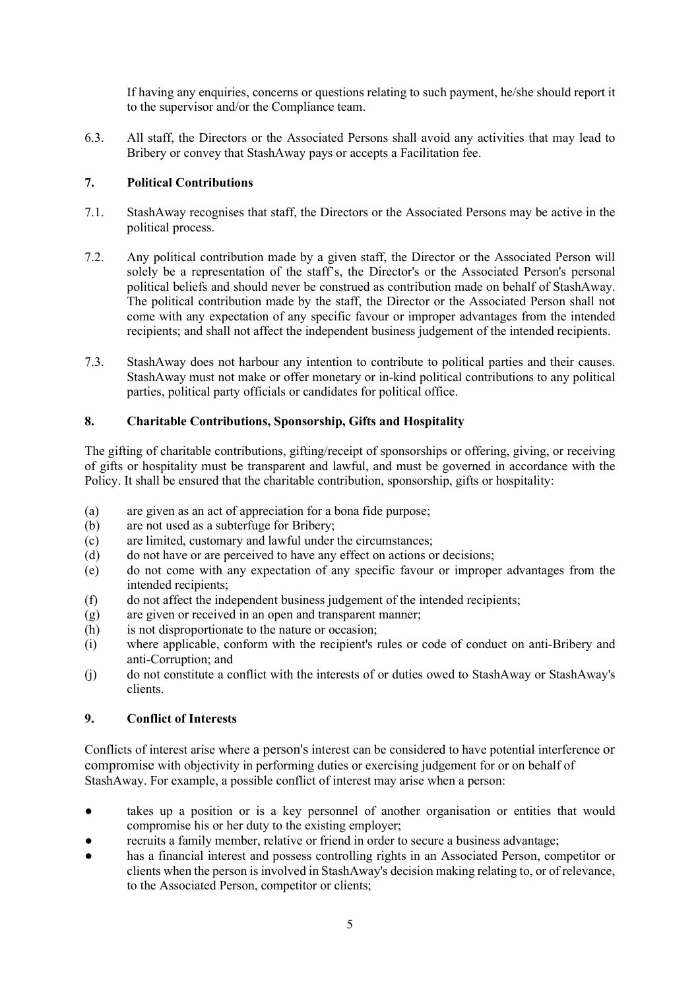If having any enquiries, concerns or questions relating to such payment, he/she should report it to the supervisor and/or the Compliance team.

6.3. All staff, the Directors or the Associated Persons shall avoid any activities that may lead to Bribery or convey that StashAway pays or accepts a Facilitation fee.

# 7. Political Contributions

- 7.1. StashAway recognises that staff, the Directors or the Associated Persons may be active in the political process.
- 7.2. Any political contribution made by a given staff, the Director or the Associated Person will solely be a representation of the staff's, the Director's or the Associated Person's personal political beliefs and should never be construed as contribution made on behalf of StashAway. The political contribution made by the staff, the Director or the Associated Person shall not come with any expectation of any specific favour or improper advantages from the intended recipients; and shall not affect the independent business judgement of the intended recipients.
- 7.3. StashAway does not harbour any intention to contribute to political parties and their causes. StashAway must not make or offer monetary or in-kind political contributions to any political parties, political party officials or candidates for political office.

## 8. Charitable Contributions, Sponsorship, Gifts and Hospitality

The gifting of charitable contributions, gifting/receipt of sponsorships or offering, giving, or receiving of gifts or hospitality must be transparent and lawful, and must be governed in accordance with the Policy. It shall be ensured that the charitable contribution, sponsorship, gifts or hospitality:

- (a) are given as an act of appreciation for a bona fide purpose;
- (b) are not used as a subterfuge for Bribery;
- (c) are limited, customary and lawful under the circumstances;
- (d) do not have or are perceived to have any effect on actions or decisions;
- (e) do not come with any expectation of any specific favour or improper advantages from the intended recipients;
- (f) do not affect the independent business judgement of the intended recipients;
- (g) are given or received in an open and transparent manner;
- (h) is not disproportionate to the nature or occasion;
- (i) where applicable, conform with the recipient's rules or code of conduct on anti-Bribery and anti-Corruption; and
- (j) do not constitute a conflict with the interests of or duties owed to StashAway or StashAway's clients.

# 9. Conflict of Interests

Conflicts of interest arise where a person's interest can be considered to have potential interference or compromise with objectivity in performing duties or exercising judgement for or on behalf of StashAway. For example, a possible conflict of interest may arise when a person:

- takes up a position or is a key personnel of another organisation or entities that would compromise his or her duty to the existing employer;
- recruits a family member, relative or friend in order to secure a business advantage;
- has a financial interest and possess controlling rights in an Associated Person, competitor or clients when the person is involved in StashAway's decision making relating to, or of relevance, to the Associated Person, competitor or clients;